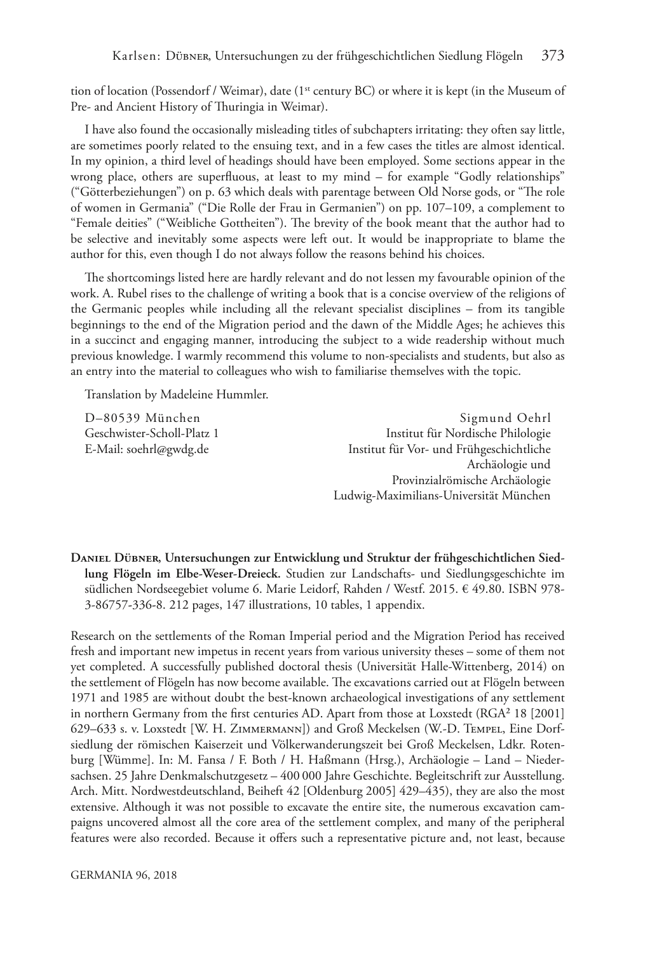tion of location (Possendorf / Weimar), date (1<sup>st</sup> century BC) or where it is kept (in the Museum of Pre- and Ancient History of Thuringia in Weimar).

I have also found the occasionally misleading titles of subchapters irritating: they often say little, are sometimes poorly related to the ensuing text, and in a few cases the titles are almost identical. In my opinion, a third level of headings should have been employed. Some sections appear in the wrong place, others are superfuous, at least to my mind – for example "Godly relationships" ("Götterbeziehungen") on p. 63 which deals with parentage between Old Norse gods, or "The role of women in Germania" ("Die Rolle der Frau in Germanien") on pp. 107–109, a complement to "Female deities" ("Weibliche Gottheiten"). The brevity of the book meant that the author had to be selective and inevitably some aspects were left out. It would be inappropriate to blame the author for this, even though I do not always follow the reasons behind his choices.

The shortcomings listed here are hardly relevant and do not lessen my favourable opinion of the work. A. Rubel rises to the challenge of writing a book that is a concise overview of the religions of the Germanic peoples while including all the relevant specialist disciplines – from its tangible beginnings to the end of the Migration period and the dawn of the Middle Ages; he achieves this in a succinct and engaging manner, introducing the subject to a wide readership without much previous knowledge. I warmly recommend this volume to non-specialists and students, but also as an entry into the material to colleagues who wish to familiarise themselves with the topic.

Translation by Madeleine Hummler.

D–80539 München Sigmund Oehrl Geschwister-Scholl-Platz 1 Institut für Nordische Philologie E-Mail: [soehrl@gwdg.de](mailto:soehrl@gwdg.de) Institut für Vor- und Frühgeschichtliche Archäologie und Provinzialrömische Archäologie Ludwig-Maximilians-Universität München

**Daniel Dübner, Untersuchungen zur Entwicklung und Struktur der frühgeschichtlichen Siedlung Flögeln im Elbe-Weser-Dreieck.** Studien zur Landschafts- und Siedlungsgeschichte im südlichen Nordseegebiet volume 6. Marie Leidorf, Rahden / Westf. 2015. € 49.80. ISBN 978- 3-86757**-**336**-**8. 212 pages, 147 illustrations, 10 tables, 1 appendix.

Research on the settlements of the Roman Imperial period and the Migration Period has received fresh and important new impetus in recent years from various university theses – some of them not yet completed. A successfully published doctoral thesis (Universität Halle-Wittenberg, 2014) on the settlement of Flögeln has now become available. The excavations carried out at Flögeln between 1971 and 1985 are without doubt the best-known archaeological investigations of any settlement in northern Germany from the first centuries AD. Apart from those at Loxstedt (RGA<sup>2</sup> 18 [2001] 629–633 s. v. Loxstedt [W. H. Zimmermann]) and Groß Meckelsen (W.-D. Tempel, Eine Dorfsiedlung der römischen Kaiserzeit und Völkerwanderungszeit bei Groß Meckelsen, Ldkr. Rotenburg [Wümme]. In: M. Fansa / F. Both / H. Haßmann (Hrsg.), Archäologie – Land – Niedersachsen. 25 Jahre Denkmalschutzgesetz – 400 000 Jahre Geschichte. Begleitschrift zur Ausstellung. Arch. Mitt. Nordwestdeutschland, Beiheft 42 [Oldenburg 2005] 429–435), they are also the most extensive. Although it was not possible to excavate the entire site, the numerous excavation campaigns uncovered almost all the core area of the settlement complex, and many of the peripheral features were also recorded. Because it ofers such a representative picture and, not least, because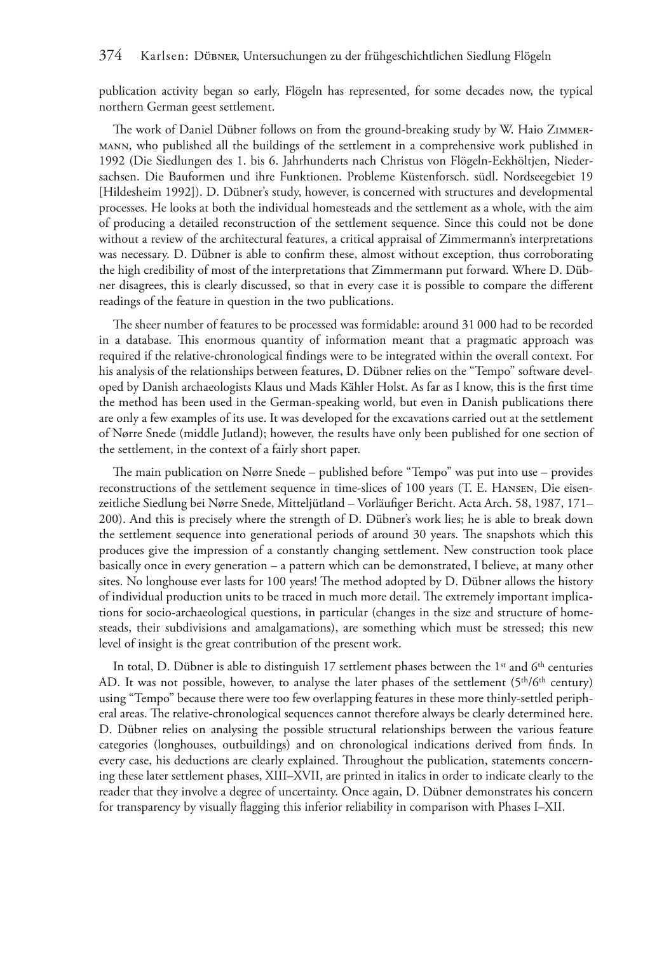publication activity began so early, Flögeln has represented, for some decades now, the typical northern German geest settlement.

The work of Daniel Dübner follows on from the ground-breaking study by W. Haio ZIMMERmann, who published all the buildings of the settlement in a comprehensive work published in 1992 (Die Siedlungen des 1. bis 6. Jahrhunderts nach Christus von Flögeln-Eekhöltjen, Niedersachsen. Die Bauformen und ihre Funktionen. Probleme Küstenforsch. südl. Nordseegebiet 19 [Hildesheim 1992]). D. Dübner's study, however, is concerned with structures and developmental processes. He looks at both the individual homesteads and the settlement as a whole, with the aim of producing a detailed reconstruction of the settlement sequence. Since this could not be done without a review of the architectural features, a critical appraisal of Zimmermann's interpretations was necessary. D. Dübner is able to confrm these, almost without exception, thus corroborating the high credibility of most of the interpretations that Zimmermann put forward. Where D. Dübner disagrees, this is clearly discussed, so that in every case it is possible to compare the diferent readings of the feature in question in the two publications.

The sheer number of features to be processed was formidable: around 31 000 had to be recorded in a database. Tis enormous quantity of information meant that a pragmatic approach was required if the relative-chronological fndings were to be integrated within the overall context. For his analysis of the relationships between features, D. Dübner relies on the "Tempo" software developed by Danish archaeologists Klaus und Mads Kähler Holst. As far as I know, this is the frst time the method has been used in the German-speaking world, but even in Danish publications there are only a few examples of its use. It was developed for the excavations carried out at the settlement of Nørre Snede (middle Jutland); however, the results have only been published for one section of the settlement, in the context of a fairly short paper.

The main publication on Nørre Snede – published before "Tempo" was put into use – provides reconstructions of the settlement sequence in time-slices of 100 years (T. E. Hansen, Die eisenzeitliche Siedlung bei Nørre Snede, Mitteljütland – Vorläufger Bericht. Acta Arch. 58, 1987, 171– 200). And this is precisely where the strength of D. Dübner's work lies; he is able to break down the settlement sequence into generational periods of around 30 years. The snapshots which this produces give the impression of a constantly changing settlement. New construction took place basically once in every generation – a pattern which can be demonstrated, I believe, at many other sites. No longhouse ever lasts for 100 years! The method adopted by D. Dübner allows the history of individual production units to be traced in much more detail. The extremely important implications for socio-archaeological questions, in particular (changes in the size and structure of homesteads, their subdivisions and amalgamations), are something which must be stressed; this new level of insight is the great contribution of the present work.

In total, D. Dübner is able to distinguish 17 settlement phases between the 1<sup>st</sup> and 6<sup>th</sup> centuries AD. It was not possible, however, to analyse the later phases of the settlement (5<sup>th</sup>/6<sup>th</sup> century) using "Tempo" because there were too few overlapping features in these more thinly-settled peripheral areas. The relative-chronological sequences cannot therefore always be clearly determined here. D. Dübner relies on analysing the possible structural relationships between the various feature categories (longhouses, outbuildings) and on chronological indications derived from fnds. In every case, his deductions are clearly explained. Throughout the publication, statements concerning these later settlement phases, XIII–XVII, are printed in italics in order to indicate clearly to the reader that they involve a degree of uncertainty. Once again, D. Dübner demonstrates his concern for transparency by visually fagging this inferior reliability in comparison with Phases I–XII.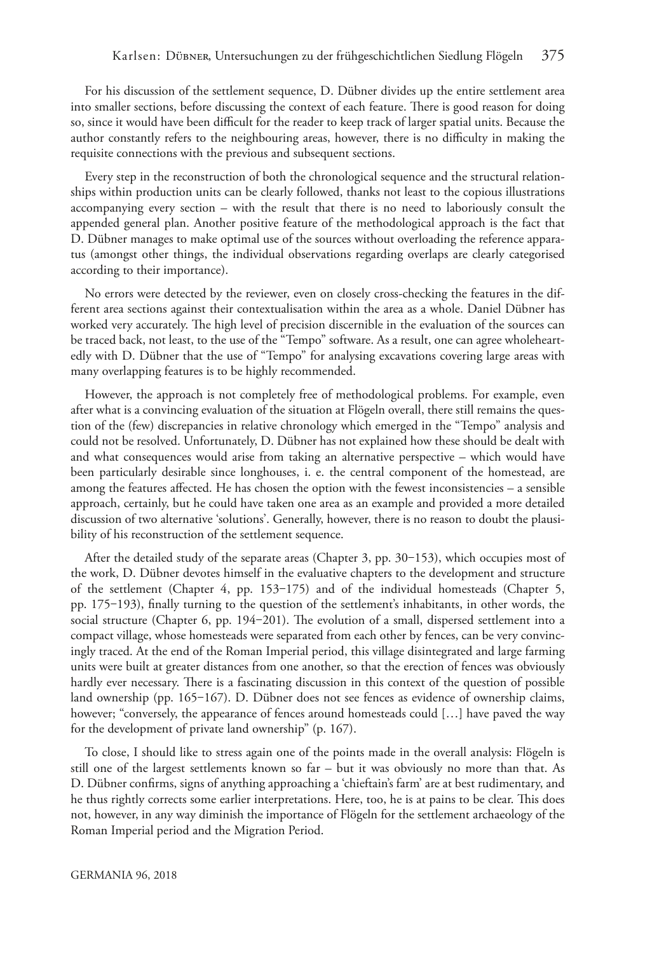For his discussion of the settlement sequence, D. Dübner divides up the entire settlement area into smaller sections, before discussing the context of each feature. There is good reason for doing so, since it would have been difcult for the reader to keep track of larger spatial units. Because the author constantly refers to the neighbouring areas, however, there is no difculty in making the requisite connections with the previous and subsequent sections.

Every step in the reconstruction of both the chronological sequence and the structural relationships within production units can be clearly followed, thanks not least to the copious illustrations accompanying every section – with the result that there is no need to laboriously consult the appended general plan. Another positive feature of the methodological approach is the fact that D. Dübner manages to make optimal use of the sources without overloading the reference apparatus (amongst other things, the individual observations regarding overlaps are clearly categorised according to their importance).

No errors were detected by the reviewer, even on closely cross-checking the features in the different area sections against their contextualisation within the area as a whole. Daniel Dübner has worked very accurately. The high level of precision discernible in the evaluation of the sources can be traced back, not least, to the use of the "Tempo" software. As a result, one can agree wholeheartedly with D. Dübner that the use of "Tempo" for analysing excavations covering large areas with many overlapping features is to be highly recommended.

However, the approach is not completely free of methodological problems. For example, even after what is a convincing evaluation of the situation at Flögeln overall, there still remains the question of the (few) discrepancies in relative chronology which emerged in the "Tempo" analysis and could not be resolved. Unfortunately, D. Dübner has not explained how these should be dealt with and what consequences would arise from taking an alternative perspective – which would have been particularly desirable since longhouses, i. e. the central component of the homestead, are among the features afected. He has chosen the option with the fewest inconsistencies – a sensible approach, certainly, but he could have taken one area as an example and provided a more detailed discussion of two alternative 'solutions'. Generally, however, there is no reason to doubt the plausibility of his reconstruction of the settlement sequence.

After the detailed study of the separate areas (Chapter 3, pp.  $30-153$ ), which occupies most of the work, D. Dübner devotes himself in the evaluative chapters to the development and structure of the settlement (Chapter 4, pp.  $153-175$ ) and of the individual homesteads (Chapter 5, pp. 175–193), finally turning to the question of the settlement's inhabitants, in other words, the social structure (Chapter 6, pp. 194–201). The evolution of a small, dispersed settlement into a compact village, whose homesteads were separated from each other by fences, can be very convincingly traced. At the end of the Roman Imperial period, this village disintegrated and large farming units were built at greater distances from one another, so that the erection of fences was obviously hardly ever necessary. There is a fascinating discussion in this context of the question of possible land ownership (pp. 165–167). D. Dübner does not see fences as evidence of ownership claims, however; "conversely, the appearance of fences around homesteads could […] have paved the way for the development of private land ownership" (p. 167).

To close, I should like to stress again one of the points made in the overall analysis: Flögeln is still one of the largest settlements known so far – but it was obviously no more than that. As D. Dübner confrms, signs of anything approaching a 'chieftain's farm' are at best rudimentary, and he thus rightly corrects some earlier interpretations. Here, too, he is at pains to be clear. Tis does not, however, in any way diminish the importance of Flögeln for the settlement archaeology of the Roman Imperial period and the Migration Period.